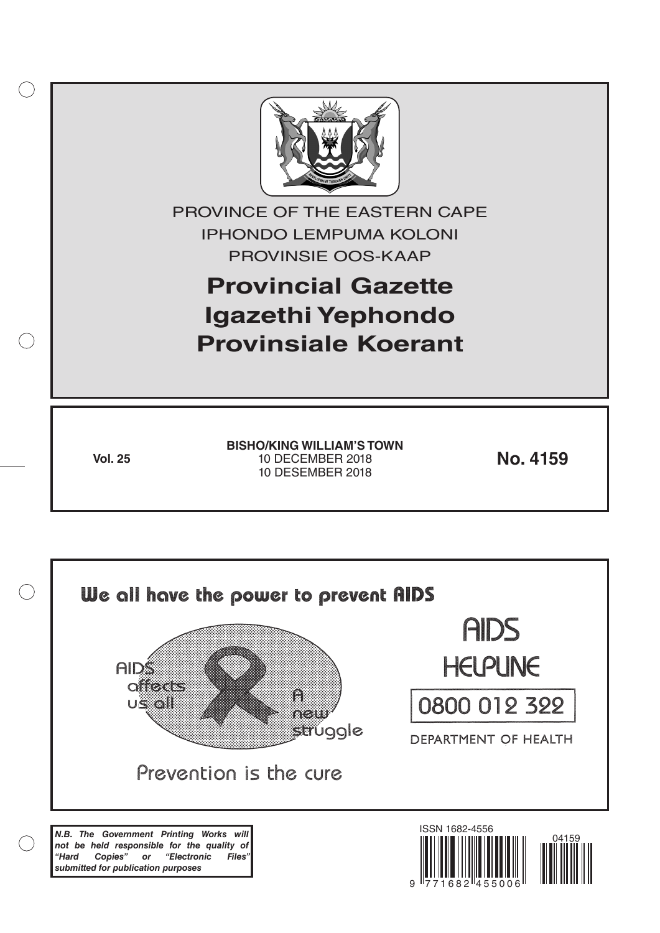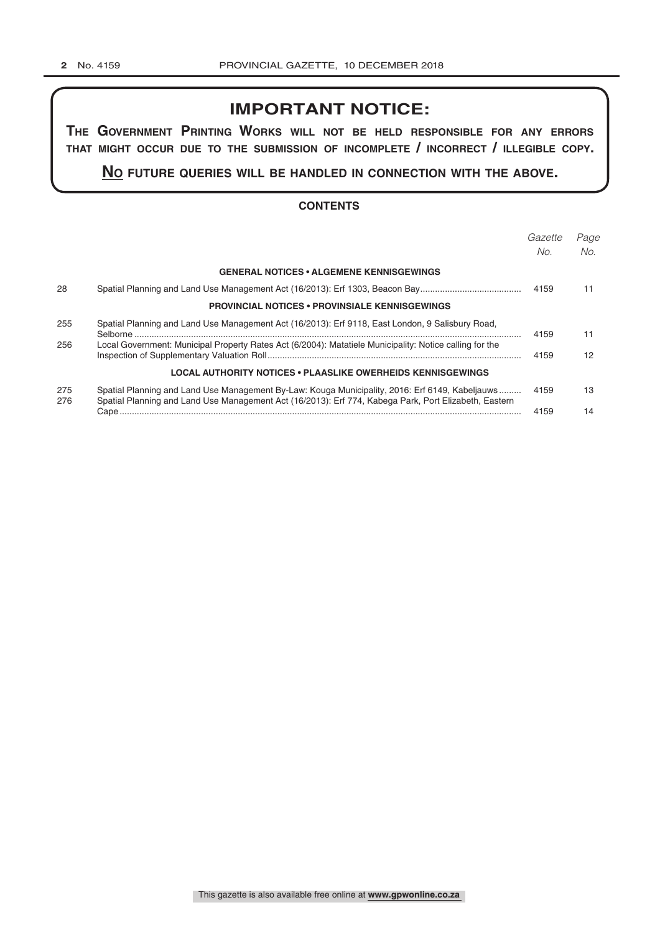# **IMPORTANT NOTICE:**

**The GovernmenT PrinTinG Works Will noT be held resPonsible for any errors ThaT miGhT occur due To The submission of incomPleTe / incorrecT / illeGible coPy.**

**no fuTure queries Will be handled in connecTion WiTh The above.**

#### **CONTENTS**

|            |                                                                                                                                                                                                          | Gazette<br>No. | Page<br>No. |
|------------|----------------------------------------------------------------------------------------------------------------------------------------------------------------------------------------------------------|----------------|-------------|
|            | <b>GENERAL NOTICES • ALGEMENE KENNISGEWINGS</b>                                                                                                                                                          |                |             |
| 28         |                                                                                                                                                                                                          | 4159           | 11          |
|            | <b>PROVINCIAL NOTICES • PROVINSIALE KENNISGEWINGS</b>                                                                                                                                                    |                |             |
| 255        | Spatial Planning and Land Use Management Act (16/2013): Erf 9118, East London, 9 Salisbury Road,                                                                                                         | 4159           | 11          |
| 256        | Local Government: Municipal Property Rates Act (6/2004): Matatiele Municipality: Notice calling for the                                                                                                  | 4159           | 12          |
|            | <b>LOCAL AUTHORITY NOTICES • PLAASLIKE OWERHEIDS KENNISGEWINGS</b>                                                                                                                                       |                |             |
| 275<br>276 | Spatial Planning and Land Use Management By-Law: Kouga Municipality, 2016: Erf 6149, Kabeljauws<br>Spatial Planning and Land Use Management Act (16/2013): Erf 774, Kabega Park, Port Elizabeth, Eastern | 4159           | 13          |
|            |                                                                                                                                                                                                          | 4159           | 14          |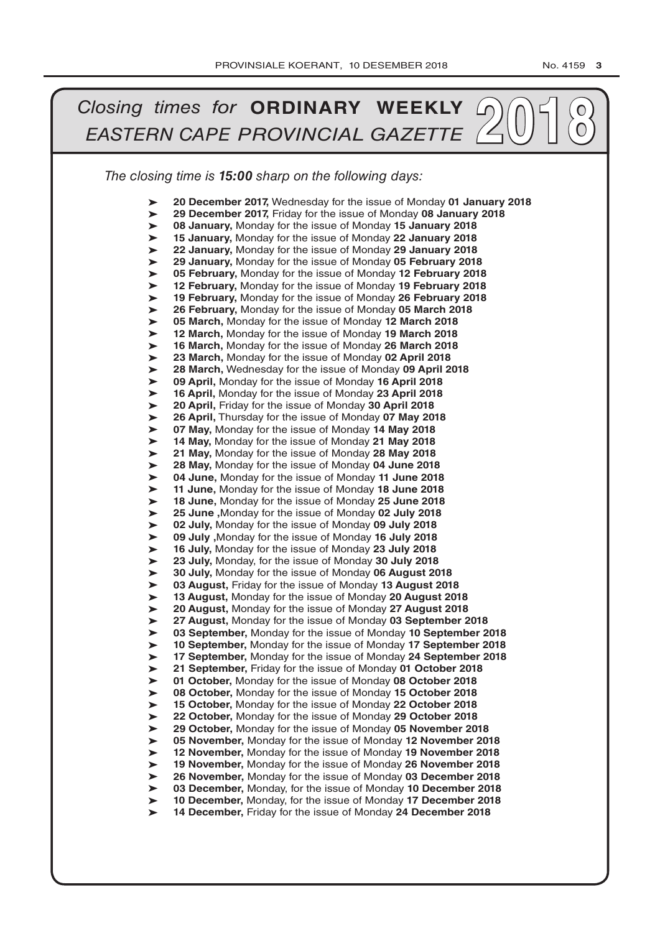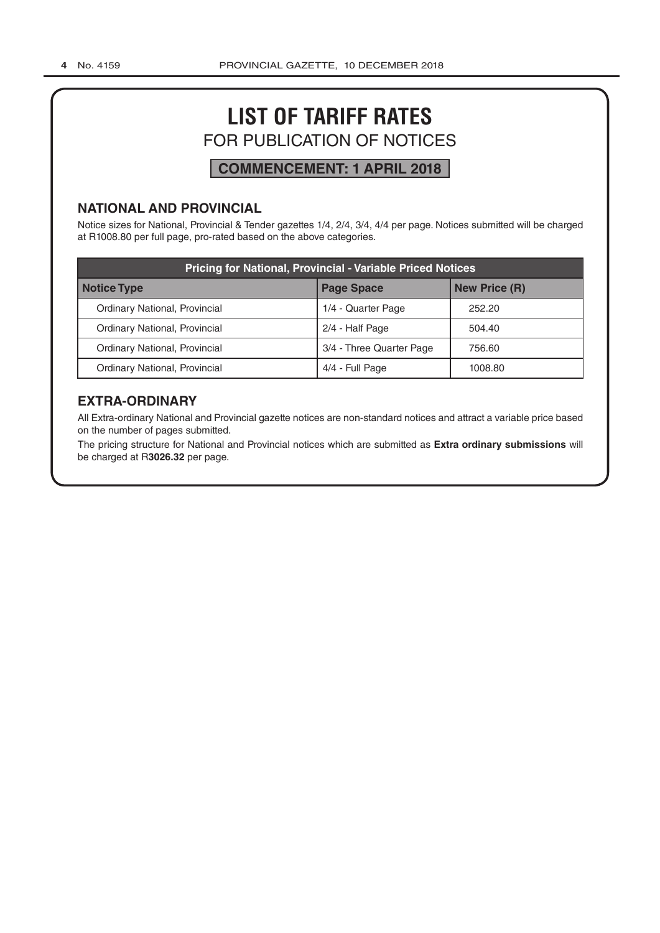# **LIST OF TARIFF RATES** FOR PUBLICATION OF NOTICES

# **COMMENCEMENT: 1 APRIL 2018**

# **NATIONAL AND PROVINCIAL**

Notice sizes for National, Provincial & Tender gazettes 1/4, 2/4, 3/4, 4/4 per page. Notices submitted will be charged at R1008.80 per full page, pro-rated based on the above categories.

| <b>Pricing for National, Provincial - Variable Priced Notices</b> |                          |                      |  |
|-------------------------------------------------------------------|--------------------------|----------------------|--|
| <b>Notice Type</b>                                                | <b>Page Space</b>        | <b>New Price (R)</b> |  |
| Ordinary National, Provincial                                     | 1/4 - Quarter Page       | 252.20               |  |
| Ordinary National, Provincial                                     | 2/4 - Half Page          | 504.40               |  |
| Ordinary National, Provincial                                     | 3/4 - Three Quarter Page | 756.60               |  |
| Ordinary National, Provincial                                     | 4/4 - Full Page          | 1008.80              |  |

# **EXTRA-ORDINARY**

All Extra-ordinary National and Provincial gazette notices are non-standard notices and attract a variable price based on the number of pages submitted.

The pricing structure for National and Provincial notices which are submitted as **Extra ordinary submissions** will be charged at R**3026.32** per page.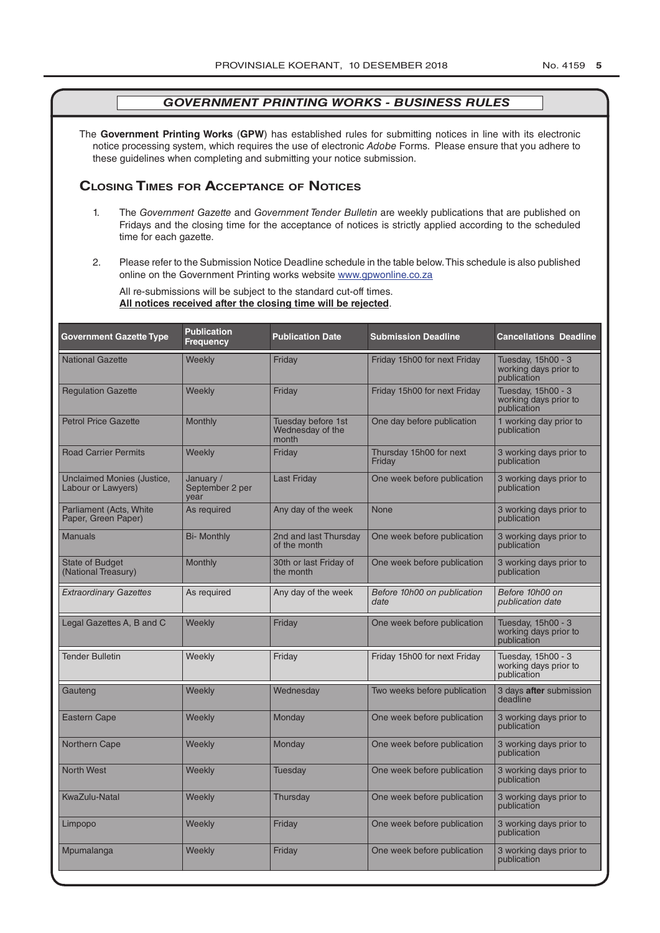The **Government Printing Works** (**GPW**) has established rules for submitting notices in line with its electronic notice processing system, which requires the use of electronic *Adobe* Forms. Please ensure that you adhere to these guidelines when completing and submitting your notice submission.

### **Closing Times for ACCepTAnCe of noTiCes**

- 1. The *Government Gazette* and *Government Tender Bulletin* are weekly publications that are published on Fridays and the closing time for the acceptance of notices is strictly applied according to the scheduled time for each gazette.
- 2. Please refer to the Submission Notice Deadline schedule in the table below. This schedule is also published online on the Government Printing works website www.gpwonline.co.za

All re-submissions will be subject to the standard cut-off times. **All notices received after the closing time will be rejected**.

| <b>Government Gazette Type</b>                   | <b>Publication</b><br><b>Frequency</b> | <b>Publication Date</b>                         | <b>Submission Deadline</b>          | <b>Cancellations Deadline</b>                              |
|--------------------------------------------------|----------------------------------------|-------------------------------------------------|-------------------------------------|------------------------------------------------------------|
| <b>National Gazette</b>                          | Weekly                                 | Friday                                          | Friday 15h00 for next Friday        | Tuesday, 15h00 - 3<br>working days prior to<br>publication |
| <b>Regulation Gazette</b>                        | Weekly                                 | Friday                                          | Friday 15h00 for next Friday        | Tuesday, 15h00 - 3<br>working days prior to<br>publication |
| <b>Petrol Price Gazette</b>                      | Monthly                                | Tuesday before 1st<br>Wednesday of the<br>month | One day before publication          | 1 working day prior to<br>publication                      |
| <b>Road Carrier Permits</b>                      | Weekly                                 | Friday                                          | Thursday 15h00 for next<br>Friday   | 3 working days prior to<br>publication                     |
| Unclaimed Monies (Justice,<br>Labour or Lawyers) | January /<br>September 2 per<br>vear   | <b>Last Friday</b>                              | One week before publication         | 3 working days prior to<br>publication                     |
| Parliament (Acts, White<br>Paper, Green Paper)   | As required                            | Any day of the week                             | None                                | 3 working days prior to<br>publication                     |
| <b>Manuals</b>                                   | <b>Bi- Monthly</b>                     | 2nd and last Thursday<br>of the month           | One week before publication         | 3 working days prior to<br>publication                     |
| <b>State of Budget</b><br>(National Treasury)    | Monthly                                | 30th or last Friday of<br>the month             | One week before publication         | 3 working days prior to<br>publication                     |
| <b>Extraordinary Gazettes</b>                    | As required                            | Any day of the week                             | Before 10h00 on publication<br>date | Before 10h00 on<br>publication date                        |
| Legal Gazettes A, B and C                        | Weekly                                 | Friday                                          | One week before publication         | Tuesday, 15h00 - 3<br>working days prior to<br>publication |
| <b>Tender Bulletin</b>                           | Weekly                                 | Friday                                          | Friday 15h00 for next Friday        | Tuesday, 15h00 - 3<br>working days prior to<br>publication |
| Gauteng                                          | Weekly                                 | Wednesday                                       | Two weeks before publication        | 3 days after submission<br>deadline                        |
| Eastern Cape                                     | Weekly                                 | <b>Monday</b>                                   | One week before publication         | 3 working days prior to<br>publication                     |
| Northern Cape                                    | Weekly                                 | Monday                                          | One week before publication         | 3 working days prior to<br>publication                     |
| <b>North West</b>                                | <b>Weekly</b>                          | Tuesdav                                         | One week before publication         | 3 working days prior to<br>publication                     |
| KwaZulu-Natal                                    | Weekly                                 | Thursday                                        | One week before publication         | 3 working days prior to<br>publication                     |
| Limpopo                                          | Weekly                                 | Friday                                          | One week before publication         | 3 working days prior to<br>publication                     |
| Mpumalanga                                       | Weekly                                 | Friday                                          | One week before publication         | 3 working days prior to<br>publication                     |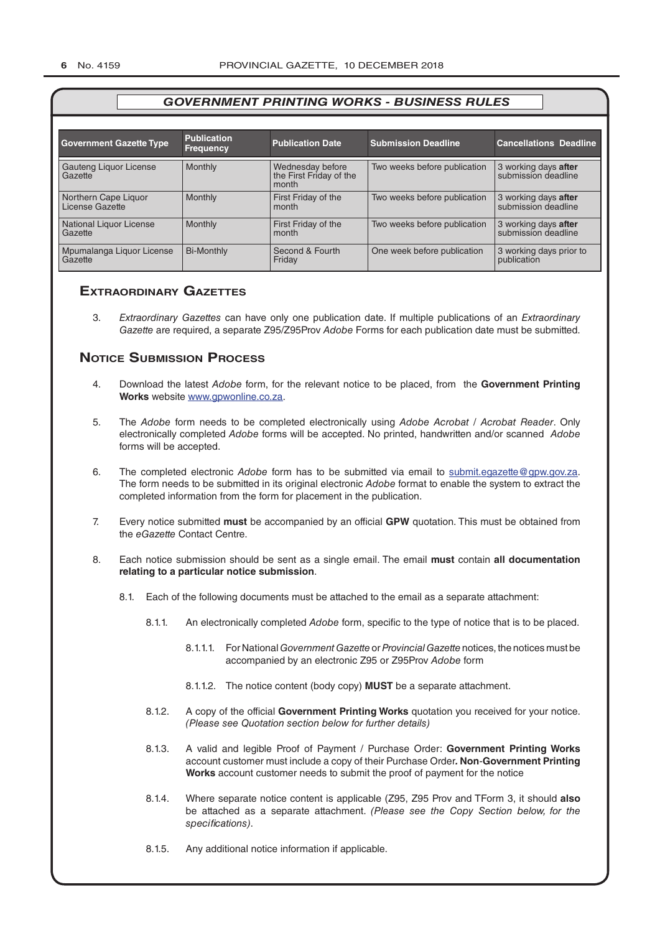| <b>Government Gazette Type</b>          | <b>Publication</b><br><b>Frequency</b> | <b>Publication Date</b>                              | <b>Submission Deadline</b>   | <b>Cancellations Deadline</b>               |
|-----------------------------------------|----------------------------------------|------------------------------------------------------|------------------------------|---------------------------------------------|
| Gauteng Liquor License<br>Gazette       | Monthly                                | Wednesday before<br>the First Friday of the<br>month | Two weeks before publication | 3 working days after<br>submission deadline |
| Northern Cape Liquor<br>License Gazette | Monthly                                | First Friday of the<br>month                         | Two weeks before publication | 3 working days after<br>submission deadline |
| National Liquor License<br>Gazette      | Monthly                                | First Friday of the<br>month                         | Two weeks before publication | 3 working days after<br>submission deadline |
| Mpumalanga Liguor License<br>Gazette    | <b>Bi-Monthly</b>                      | Second & Fourth<br>Friday                            | One week before publication  | 3 working days prior to<br>publication      |

#### **exTrAordinAry gAzeTTes**

3. *Extraordinary Gazettes* can have only one publication date. If multiple publications of an *Extraordinary Gazette* are required, a separate Z95/Z95Prov *Adobe* Forms for each publication date must be submitted.

### **NOTICE SUBMISSION PROCESS**

- 4. Download the latest *Adobe* form, for the relevant notice to be placed, from the **Government Printing Works** website www.gpwonline.co.za.
- 5. The *Adobe* form needs to be completed electronically using *Adobe Acrobat* / *Acrobat Reader*. Only electronically completed *Adobe* forms will be accepted. No printed, handwritten and/or scanned *Adobe* forms will be accepted.
- 6. The completed electronic *Adobe* form has to be submitted via email to submit.egazette@gpw.gov.za. The form needs to be submitted in its original electronic *Adobe* format to enable the system to extract the completed information from the form for placement in the publication.
- 7. Every notice submitted **must** be accompanied by an official **GPW** quotation. This must be obtained from the *eGazette* Contact Centre.
- 8. Each notice submission should be sent as a single email. The email **must** contain **all documentation relating to a particular notice submission**.
	- 8.1. Each of the following documents must be attached to the email as a separate attachment:
		- 8.1.1. An electronically completed *Adobe* form, specific to the type of notice that is to be placed.
			- 8.1.1.1. For National *Government Gazette* or *Provincial Gazette* notices, the notices must be accompanied by an electronic Z95 or Z95Prov *Adobe* form
			- 8.1.1.2. The notice content (body copy) **MUST** be a separate attachment.
		- 8.1.2. A copy of the official **Government Printing Works** quotation you received for your notice. *(Please see Quotation section below for further details)*
		- 8.1.3. A valid and legible Proof of Payment / Purchase Order: **Government Printing Works** account customer must include a copy of their Purchase Order*.* **Non**-**Government Printing Works** account customer needs to submit the proof of payment for the notice
		- 8.1.4. Where separate notice content is applicable (Z95, Z95 Prov and TForm 3, it should **also** be attached as a separate attachment. *(Please see the Copy Section below, for the specifications)*.
		- 8.1.5. Any additional notice information if applicable.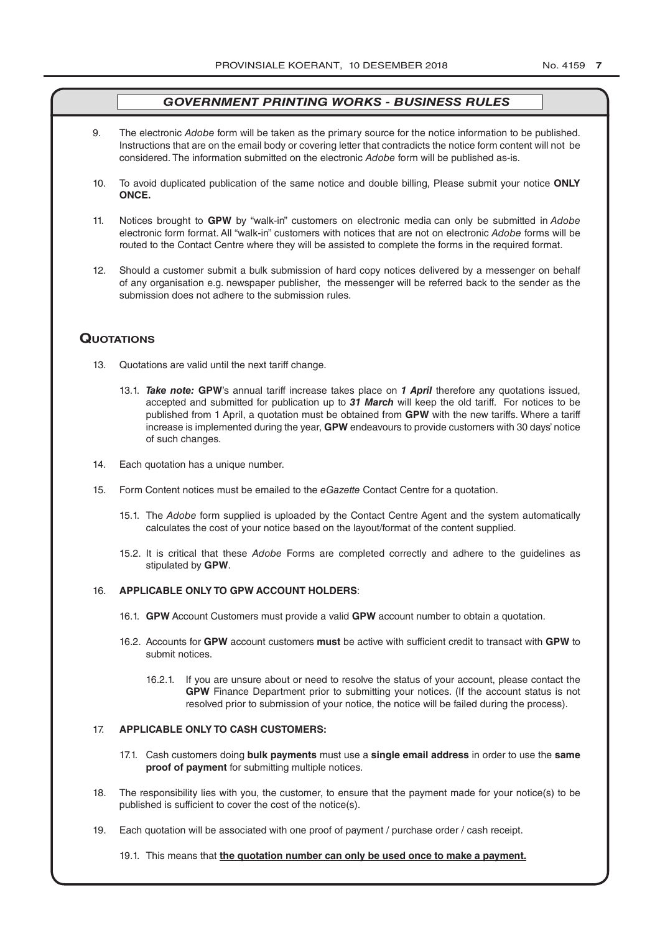- 9. The electronic *Adobe* form will be taken as the primary source for the notice information to be published. Instructions that are on the email body or covering letter that contradicts the notice form content will not be considered. The information submitted on the electronic *Adobe* form will be published as-is.
- 10. To avoid duplicated publication of the same notice and double billing, Please submit your notice **ONLY ONCE.**
- 11. Notices brought to **GPW** by "walk-in" customers on electronic media can only be submitted in *Adobe* electronic form format. All "walk-in" customers with notices that are not on electronic *Adobe* forms will be routed to the Contact Centre where they will be assisted to complete the forms in the required format.
- 12. Should a customer submit a bulk submission of hard copy notices delivered by a messenger on behalf of any organisation e.g. newspaper publisher, the messenger will be referred back to the sender as the submission does not adhere to the submission rules.

#### **QuoTATions**

- 13. Quotations are valid until the next tariff change.
	- 13.1. *Take note:* **GPW**'s annual tariff increase takes place on *1 April* therefore any quotations issued, accepted and submitted for publication up to *31 March* will keep the old tariff. For notices to be published from 1 April, a quotation must be obtained from **GPW** with the new tariffs. Where a tariff increase is implemented during the year, **GPW** endeavours to provide customers with 30 days' notice of such changes.
- 14. Each quotation has a unique number.
- 15. Form Content notices must be emailed to the *eGazette* Contact Centre for a quotation.
	- 15.1. The *Adobe* form supplied is uploaded by the Contact Centre Agent and the system automatically calculates the cost of your notice based on the layout/format of the content supplied.
	- 15.2. It is critical that these *Adobe* Forms are completed correctly and adhere to the guidelines as stipulated by **GPW**.

#### 16. **APPLICABLE ONLY TO GPW ACCOUNT HOLDERS**:

- 16.1. **GPW** Account Customers must provide a valid **GPW** account number to obtain a quotation.
- 16.2. Accounts for **GPW** account customers **must** be active with sufficient credit to transact with **GPW** to submit notices.
	- 16.2.1. If you are unsure about or need to resolve the status of your account, please contact the **GPW** Finance Department prior to submitting your notices. (If the account status is not resolved prior to submission of your notice, the notice will be failed during the process).

#### 17. **APPLICABLE ONLY TO CASH CUSTOMERS:**

- 17.1. Cash customers doing **bulk payments** must use a **single email address** in order to use the **same proof of payment** for submitting multiple notices.
- 18. The responsibility lies with you, the customer, to ensure that the payment made for your notice(s) to be published is sufficient to cover the cost of the notice(s).
- 19. Each quotation will be associated with one proof of payment / purchase order / cash receipt.

19.1. This means that **the quotation number can only be used once to make a payment.**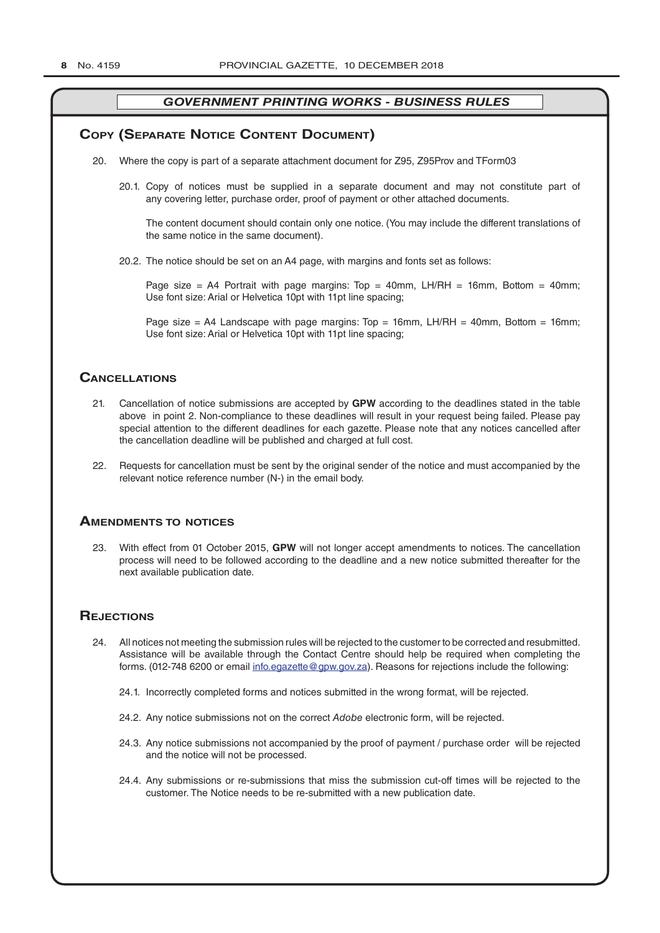### **COPY (SEPARATE NOTICE CONTENT DOCUMENT)**

- 20. Where the copy is part of a separate attachment document for Z95, Z95Prov and TForm03
	- 20.1. Copy of notices must be supplied in a separate document and may not constitute part of any covering letter, purchase order, proof of payment or other attached documents.

The content document should contain only one notice. (You may include the different translations of the same notice in the same document).

20.2. The notice should be set on an A4 page, with margins and fonts set as follows:

Page size = A4 Portrait with page margins: Top = 40mm, LH/RH = 16mm, Bottom = 40mm; Use font size: Arial or Helvetica 10pt with 11pt line spacing;

Page size = A4 Landscape with page margins:  $Top = 16mm$ , LH/RH = 40mm, Bottom = 16mm; Use font size: Arial or Helvetica 10pt with 11pt line spacing;

#### **CAnCellATions**

- 21. Cancellation of notice submissions are accepted by **GPW** according to the deadlines stated in the table above in point 2. Non-compliance to these deadlines will result in your request being failed. Please pay special attention to the different deadlines for each gazette. Please note that any notices cancelled after the cancellation deadline will be published and charged at full cost.
- 22. Requests for cancellation must be sent by the original sender of the notice and must accompanied by the relevant notice reference number (N-) in the email body.

#### **AmendmenTs To noTiCes**

23. With effect from 01 October 2015, **GPW** will not longer accept amendments to notices. The cancellation process will need to be followed according to the deadline and a new notice submitted thereafter for the next available publication date.

#### **REJECTIONS**

- 24. All notices not meeting the submission rules will be rejected to the customer to be corrected and resubmitted. Assistance will be available through the Contact Centre should help be required when completing the forms. (012-748 6200 or email info.egazette@gpw.gov.za). Reasons for rejections include the following:
	- 24.1. Incorrectly completed forms and notices submitted in the wrong format, will be rejected.
	- 24.2. Any notice submissions not on the correct *Adobe* electronic form, will be rejected.
	- 24.3. Any notice submissions not accompanied by the proof of payment / purchase order will be rejected and the notice will not be processed.
	- 24.4. Any submissions or re-submissions that miss the submission cut-off times will be rejected to the customer. The Notice needs to be re-submitted with a new publication date.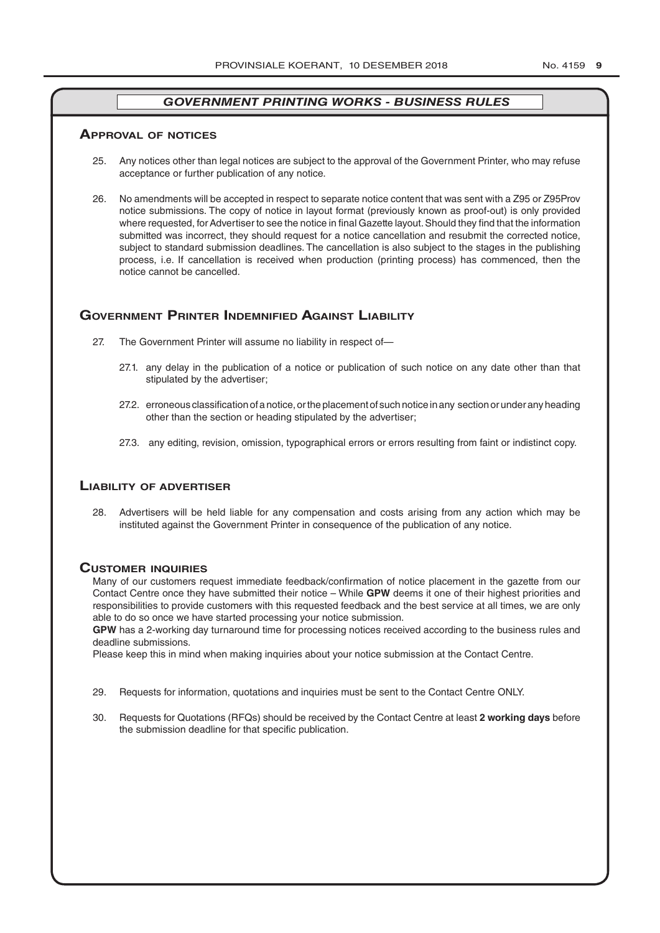#### **ApprovAl of noTiCes**

- 25. Any notices other than legal notices are subject to the approval of the Government Printer, who may refuse acceptance or further publication of any notice.
- 26. No amendments will be accepted in respect to separate notice content that was sent with a Z95 or Z95Prov notice submissions. The copy of notice in layout format (previously known as proof-out) is only provided where requested, for Advertiser to see the notice in final Gazette layout. Should they find that the information submitted was incorrect, they should request for a notice cancellation and resubmit the corrected notice, subject to standard submission deadlines. The cancellation is also subject to the stages in the publishing process, i.e. If cancellation is received when production (printing process) has commenced, then the notice cannot be cancelled.

#### **governmenT prinTer indemnified AgAinsT liAbiliTy**

- 27. The Government Printer will assume no liability in respect of—
	- 27.1. any delay in the publication of a notice or publication of such notice on any date other than that stipulated by the advertiser;
	- 27.2. erroneous classification of a notice, or the placement of such notice in any section or under any heading other than the section or heading stipulated by the advertiser;
	- 27.3. any editing, revision, omission, typographical errors or errors resulting from faint or indistinct copy.

#### **liAbiliTy of AdverTiser**

28. Advertisers will be held liable for any compensation and costs arising from any action which may be instituted against the Government Printer in consequence of the publication of any notice.

#### **CusTomer inQuiries**

Many of our customers request immediate feedback/confirmation of notice placement in the gazette from our Contact Centre once they have submitted their notice – While **GPW** deems it one of their highest priorities and responsibilities to provide customers with this requested feedback and the best service at all times, we are only able to do so once we have started processing your notice submission.

**GPW** has a 2-working day turnaround time for processing notices received according to the business rules and deadline submissions.

Please keep this in mind when making inquiries about your notice submission at the Contact Centre.

- 29. Requests for information, quotations and inquiries must be sent to the Contact Centre ONLY.
- 30. Requests for Quotations (RFQs) should be received by the Contact Centre at least **2 working days** before the submission deadline for that specific publication.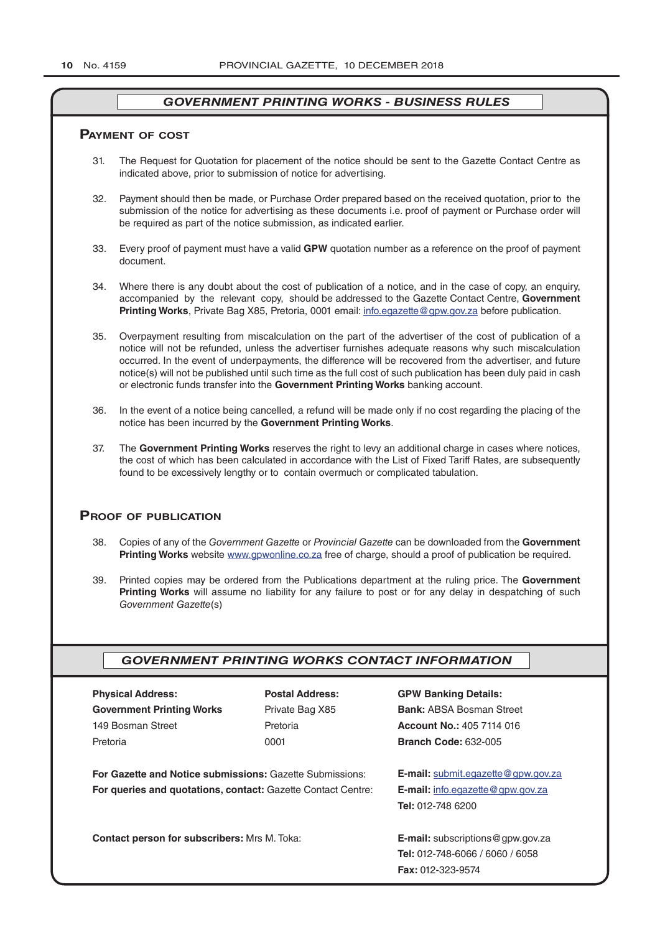#### **pAymenT of CosT**

- 31. The Request for Quotation for placement of the notice should be sent to the Gazette Contact Centre as indicated above, prior to submission of notice for advertising.
- 32. Payment should then be made, or Purchase Order prepared based on the received quotation, prior to the submission of the notice for advertising as these documents i.e. proof of payment or Purchase order will be required as part of the notice submission, as indicated earlier.
- 33. Every proof of payment must have a valid **GPW** quotation number as a reference on the proof of payment document.
- 34. Where there is any doubt about the cost of publication of a notice, and in the case of copy, an enquiry, accompanied by the relevant copy, should be addressed to the Gazette Contact Centre, **Government Printing Works**, Private Bag X85, Pretoria, 0001 email: info.egazette@gpw.gov.za before publication.
- 35. Overpayment resulting from miscalculation on the part of the advertiser of the cost of publication of a notice will not be refunded, unless the advertiser furnishes adequate reasons why such miscalculation occurred. In the event of underpayments, the difference will be recovered from the advertiser, and future notice(s) will not be published until such time as the full cost of such publication has been duly paid in cash or electronic funds transfer into the **Government Printing Works** banking account.
- 36. In the event of a notice being cancelled, a refund will be made only if no cost regarding the placing of the notice has been incurred by the **Government Printing Works**.
- 37. The **Government Printing Works** reserves the right to levy an additional charge in cases where notices, the cost of which has been calculated in accordance with the List of Fixed Tariff Rates, are subsequently found to be excessively lengthy or to contain overmuch or complicated tabulation.

#### **proof of publiCATion**

- 38. Copies of any of the *Government Gazette* or *Provincial Gazette* can be downloaded from the **Government Printing Works** website www.gpwonline.co.za free of charge, should a proof of publication be required.
- 39. Printed copies may be ordered from the Publications department at the ruling price. The **Government Printing Works** will assume no liability for any failure to post or for any delay in despatching of such *Government Gazette*(s)

#### *GOVERNMENT PRINTING WORKS CONTACT INFORMATION*

| <b>PRYSICAL AQUIPSS:</b>         |
|----------------------------------|
| <b>Government Printing Works</b> |
| 149 Bosman Street                |
| Pretoria                         |
|                                  |

**For Gazette and Notice submissions:** Gazette Submissions: **E-mail:** submit.egazette@gpw.gov.za **For queries and quotations, contact:** Gazette Contact Centre: **E-mail:** info.egazette@gpw.gov.za

**Contact person for subscribers:** Mrs M. Toka: **E-mail:** subscriptions@gpw.gov.za

**Physical Address: Postal Address: GPW Banking Details:**

Private Bag X85 **Bank:** ABSA Bosman Street 149 Bosman Street Pretoria **Account No.:** 405 7114 016 Pretoria 0001 **Branch Code:** 632-005

**Tel:** 012-748 6200

**Tel:** 012-748-6066 / 6060 / 6058 **Fax:** 012-323-9574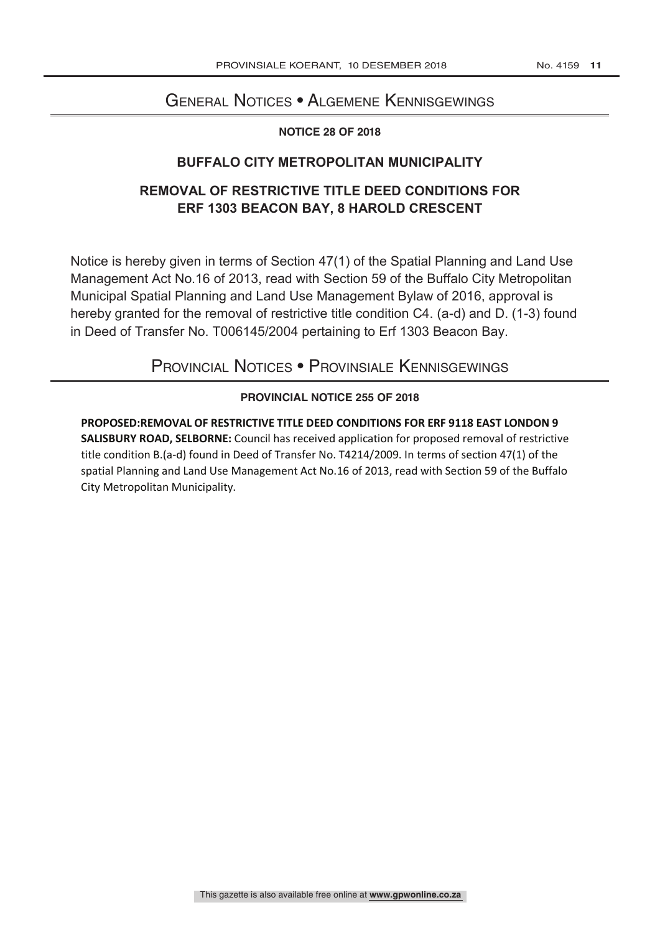# General Notices • Algemene Kennisgewings

#### **NOTICE 28 OF 2018**

# **BUFFALO CITY METROPOLITAN MUNICIPALITY**

# **REMOVAL OF RESTRICTIVE TITLE DEED CONDITIONS FOR ERF 1303 BEACON BAY, 8 HAROLD CRESCENT**

Notice is hereby given in terms of Section 47(1) of the Spatial Planning and Land Use Management Act No.16 of 2013, read with Section 59 of the Buffalo City Metropolitan Municipal Spatial Planning and Land Use Management Bylaw of 2016, approval is hereby granted for the removal of restrictive title condition C4. (a-d) and D. (1-3) found in Deed of Transfer No. T006145/2004 pertaining to Erf 1303 Beacon Bay.

# Provincial Notices • Provinsiale Kennisgewings

# **PROVINCIAL NOTICE 255 OF 2018**

**PROPOSED:REMOVAL OF RESTRICTIVE TITLE DEED CONDITIONS FOR ERF 9118 EAST LONDON 9 SALISBURY ROAD, SELBORNE:** Council has received application for proposed removal of restrictive title condition B.(a-d) found in Deed of Transfer No. T4214/2009. In terms of section 47(1) of the spatial Planning and Land Use Management Act No.16 of 2013, read with Section 59 of the Buffalo City Metropolitan Municipality.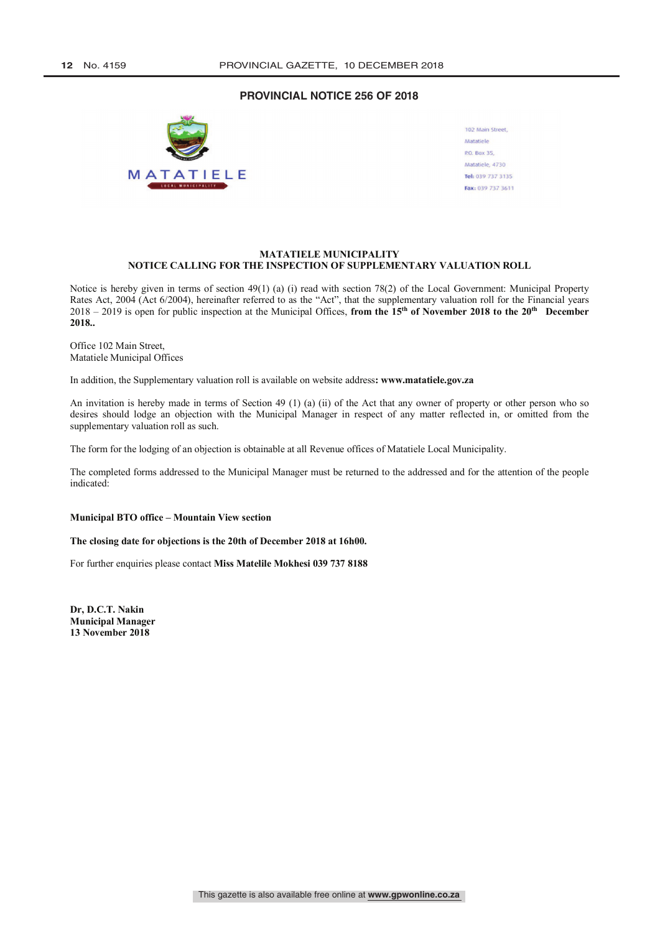#### **PROVINCIAL NOTICE 256 OF 2018**



| 102 Main Street,  |
|-------------------|
| Matatiele         |
| P.O. Box 35,      |
| Matatiele, 4730   |
| Tel: 039 737 3135 |
| Fax: 039 737 3611 |

#### **MATATIELE MUNICIPALITY NOTICE CALLING FOR THE INSPECTION OF SUPPLEMENTARY VALUATION ROLL**

Notice is hereby given in terms of section 49(1) (a) (i) read with section 78(2) of the Local Government: Municipal Property Rates Act, 2004 (Act 6/2004), hereinafter referred to as the "Act", that the supplementary valuation roll for the Financial years 2018 – 2019 is open for public inspection at the Municipal Offices, **from the 15th of November 2018 to the 20th December 2018..**

Office 102 Main Street, Matatiele Municipal Offices

In addition, the Supplementary valuation roll is available on website address**: www.matatiele.gov.za**

An invitation is hereby made in terms of Section 49 (1) (a) (ii) of the Act that any owner of property or other person who so desires should lodge an objection with the Municipal Manager in respect of any matter reflected in, or omitted from the supplementary valuation roll as such.

The form for the lodging of an objection is obtainable at all Revenue offices of Matatiele Local Municipality.

The completed forms addressed to the Municipal Manager must be returned to the addressed and for the attention of the people indicated:

### **Municipal BTO office – Mountain View section**

**The closing date for objections is the 20th of December 2018 at 16h00.**

For further enquiries please contact **Miss Matelile Mokhesi 039 737 8188**

**Dr, D.C.T. Nakin Municipal Manager 13 November 2018**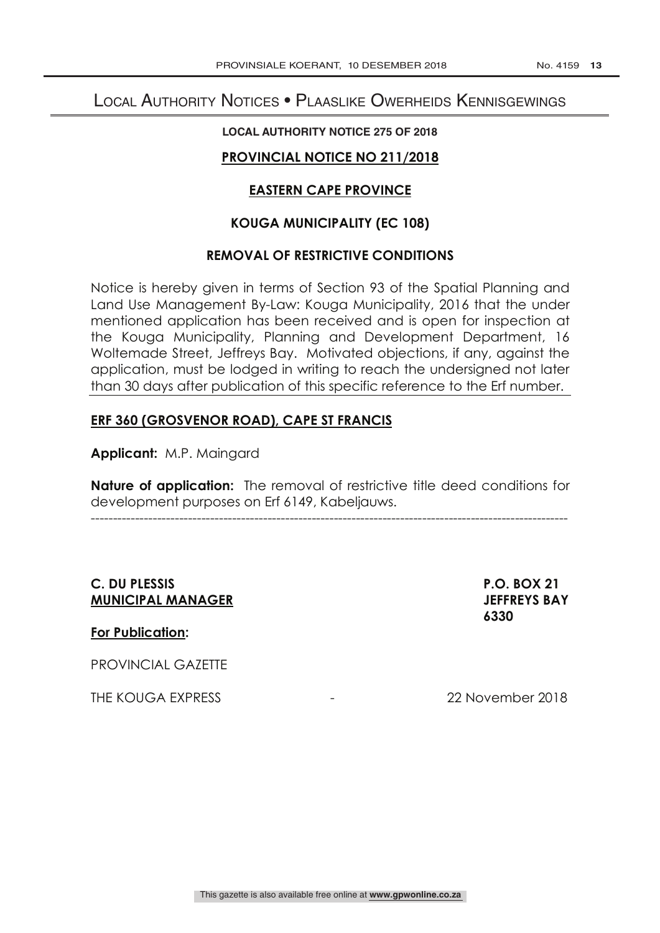# Local Authority Notices • Plaaslike Owerheids Kennisgewings

### **LOCAL AUTHORITY NOTICE 275 OF 2018**

# **PROVINCIAL NOTICE NO 211/2018**

# **EASTERN CAPE PROVINCE**

# **KOUGA MUNICIPALITY (EC 108)**

### **REMOVAL OF RESTRICTIVE CONDITIONS**

Notice is hereby given in terms of Section 93 of the Spatial Planning and Land Use Management By-Law: Kouga Municipality, 2016 that the under mentioned application has been received and is open for inspection at the Kouga Municipality, Planning and Development Department, 16 Woltemade Street, Jeffreys Bay. Motivated objections, if any, against the application, must be lodged in writing to reach the undersigned not later than 30 days after publication of this specific reference to the Erf number.

# **ERF 360 (GROSVENOR ROAD), CAPE ST FRANCIS**

**Applicant:** M.P. Maingard

**Nature of application:** The removal of restrictive title deed conditions for development purposes on Erf 6149, Kabeljauws.

------------------------------------------------------------------------------------------------------------

# **C. DU PLESSIS P.O. BOX 21 MUNICIPAL MANAGER JEFFREYS BAY**

#### **For Publication:**

PROVINCIAL GAZETTE

THE KOUGA EXPRESS THE KOUGA EXPRESS

 **6330**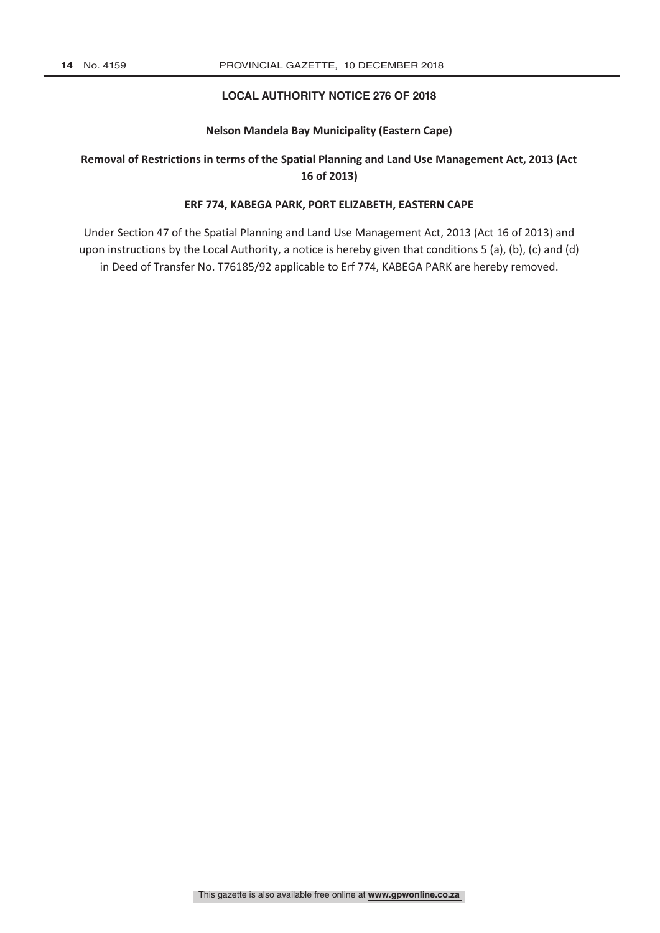#### **LOCAL AUTHORITY NOTICE 276 OF 2018**

#### **Nelson Mandela Bay Municipality (Eastern Cape)**

# **Removal of Restrictions in terms of the Spatial Planning and Land Use Management Act, 2013 (Act 16 of 2013)**

#### **ERF 774, KABEGA PARK, PORT ELIZABETH, EASTERN CAPE**

Under Section 47 of the Spatial Planning and Land Use Management Act, 2013 (Act 16 of 2013) and upon instructions by the Local Authority, a notice is hereby given that conditions 5 (a), (b), (c) and (d) in Deed of Transfer No. T76185/92 applicable to Erf 774, KABEGA PARK are hereby removed.